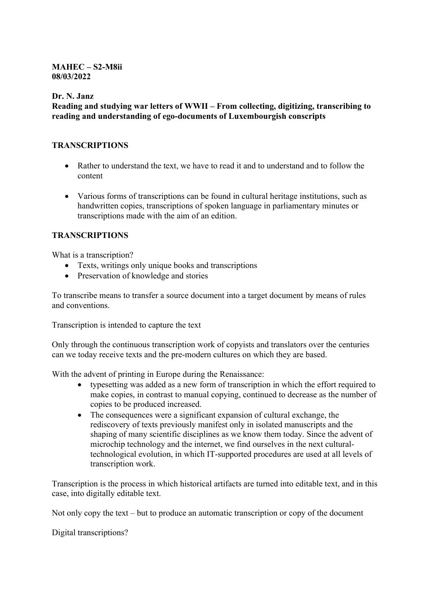## **MAHEC – S2-M8ii 08/03/2022**

**Dr. N. Janz**

**Reading and studying war letters of WWII – From collecting, digitizing, transcribing to reading and understanding of ego-documents of Luxembourgish conscripts** 

#### **TRANSCRIPTIONS**

- Rather to understand the text, we have to read it and to understand and to follow the content
- Various forms of transcriptions can be found in cultural heritage institutions, such as handwritten copies, transcriptions of spoken language in parliamentary minutes or transcriptions made with the aim of an edition.

## **TRANSCRIPTIONS**

What is a transcription?

- Texts, writings only unique books and transcriptions
- Preservation of knowledge and stories

To transcribe means to transfer a source document into a target document by means of rules and conventions.

Transcription is intended to capture the text

Only through the continuous transcription work of copyists and translators over the centuries can we today receive texts and the pre-modern cultures on which they are based.

With the advent of printing in Europe during the Renaissance:

- typesetting was added as a new form of transcription in which the effort required to make copies, in contrast to manual copying, continued to decrease as the number of copies to be produced increased.
- The consequences were a significant expansion of cultural exchange, the rediscovery of texts previously manifest only in isolated manuscripts and the shaping of many scientific disciplines as we know them today. Since the advent of microchip technology and the internet, we find ourselves in the next culturaltechnological evolution, in which IT-supported procedures are used at all levels of transcription work.

Transcription is the process in which historical artifacts are turned into editable text, and in this case, into digitally editable text.

Not only copy the text – but to produce an automatic transcription or copy of the document

Digital transcriptions?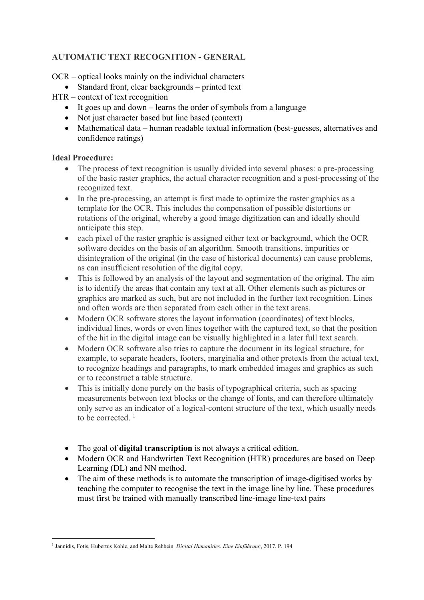# **AUTOMATIC TEXT RECOGNITION - GENERAL**

OCR – optical looks mainly on the individual characters

- Standard front, clear backgrounds printed text
- HTR context of text recognition
	- It goes up and down learns the order of symbols from a language
	- Not just character based but line based (context)
	- Mathematical data human readable textual information (best-guesses, alternatives and confidence ratings)

## **Ideal Procedure:**

- The process of text recognition is usually divided into several phases: a pre-processing of the basic raster graphics, the actual character recognition and a post-processing of the recognized text.
- In the pre-processing, an attempt is first made to optimize the raster graphics as a template for the OCR. This includes the compensation of possible distortions or rotations of the original, whereby a good image digitization can and ideally should anticipate this step.
- each pixel of the raster graphic is assigned either text or background, which the OCR software decides on the basis of an algorithm. Smooth transitions, impurities or disintegration of the original (in the case of historical documents) can cause problems, as can insufficient resolution of the digital copy.
- This is followed by an analysis of the layout and segmentation of the original. The aim is to identify the areas that contain any text at all. Other elements such as pictures or graphics are marked as such, but are not included in the further text recognition. Lines and often words are then separated from each other in the text areas.
- Modern OCR software stores the layout information (coordinates) of text blocks, individual lines, words or even lines together with the captured text, so that the position of the hit in the digital image can be visually highlighted in a later full text search.
- Modern OCR software also tries to capture the document in its logical structure, for example, to separate headers, footers, marginalia and other pretexts from the actual text, to recognize headings and paragraphs, to mark embedded images and graphics as such or to reconstruct a table structure.
- This is initially done purely on the basis of typographical criteria, such as spacing measurements between text blocks or the change of fonts, and can therefore ultimately only serve as an indicator of a logical-content structure of the text, which usually needs to be corrected.<sup>1</sup>
- The goal of **digital transcription** is not always a critical edition.
- Modern OCR and Handwritten Text Recognition (HTR) procedures are based on Deep Learning (DL) and NN method.
- The aim of these methods is to automate the transcription of image-digitised works by teaching the computer to recognise the text in the image line by line. These procedures must first be trained with manually transcribed line-image line-text pairs

<sup>1</sup> Jannidis, Fotis, Hubertus Kohle, and Malte Rehbein. *Digital Humanities. Eine Einführung*, 2017. P. 194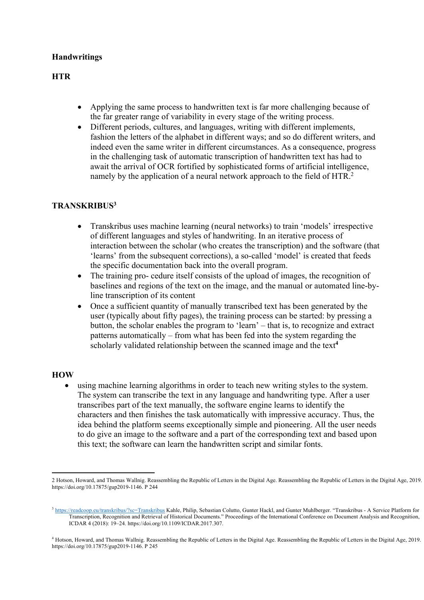# **Handwritings**

# **HTR**

- Applying the same process to handwritten text is far more challenging because of the far greater range of variability in every stage of the writing process.
- Different periods, cultures, and languages, writing with different implements, fashion the letters of the alphabet in different ways; and so do different writers, and indeed even the same writer in different circumstances. As a consequence, progress in the challenging task of automatic transcription of handwritten text has had to await the arrival of OCR fortified by sophisticated forms of artificial intelligence, namely by the application of a neural network approach to the field of HTR.<sup>2</sup>

## **TRANSKRIBUS3**

- Transkribus uses machine learning (neural networks) to train 'models' irrespective of different languages and styles of handwriting. In an iterative process of interaction between the scholar (who creates the transcription) and the software (that 'learns' from the subsequent corrections), a so-called 'model' is created that feeds the specific documentation back into the overall program.
- The training pro- cedure itself consists of the upload of images, the recognition of baselines and regions of the text on the image, and the manual or automated line-byline transcription of its content
- Once a sufficient quantity of manually transcribed text has been generated by the user (typically about fifty pages), the training process can be started: by pressing a button, the scholar enables the program to 'learn' – that is, to recognize and extract patterns automatically – from what has been fed into the system regarding the scholarly validated relationship between the scanned image and the text**<sup>4</sup>**

#### **HOW**

• using machine learning algorithms in order to teach new writing styles to the system. The system can transcribe the text in any language and handwriting type. After a user transcribes part of the text manually, the software engine learns to identify the characters and then finishes the task automatically with impressive accuracy. Thus, the idea behind the platform seems exceptionally simple and pioneering. All the user needs to do give an image to the software and a part of the corresponding text and based upon this text; the software can learn the handwritten script and similar fonts.

<sup>2</sup> Hotson, Howard, and Thomas Wallnig. Reassembling the Republic of Letters in the Digital Age. Reassembling the Republic of Letters in the Digital Age, 2019. https://doi.org/10.17875/gup2019-1146. P 244

<sup>3</sup> https://readcoop.eu/transkribus/?sc=Transkribus Kahle, Philip, Sebastian Colutto, Gunter Hackl, and Gunter Muhlberger. "Transkribus - A Service Platform for Transcription, Recognition and Retrieval of Historical Documents." Proceedings of the International Conference on Document Analysis and Recognition, ICDAR 4 (2018): 19–24. https://doi.org/10.1109/ICDAR.2017.307.

<sup>4</sup> Hotson, Howard, and Thomas Wallnig. Reassembling the Republic of Letters in the Digital Age. Reassembling the Republic of Letters in the Digital Age, 2019. https://doi.org/10.17875/gup2019-1146. P 245